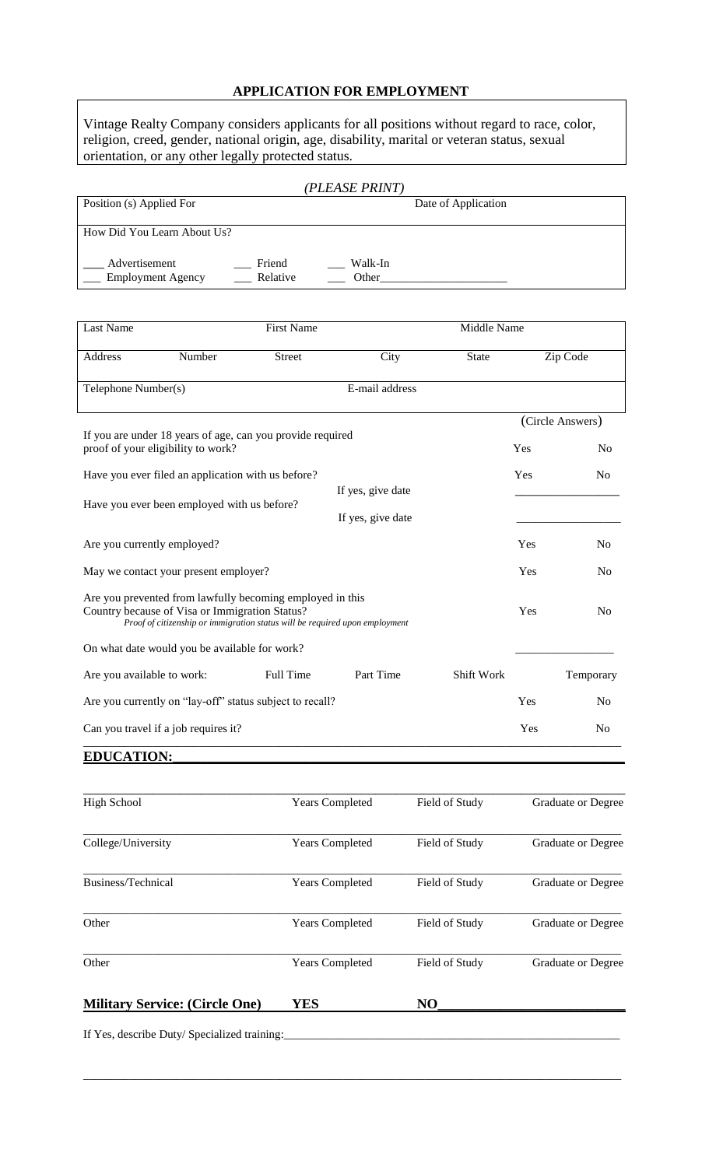## **APPLICATION FOR EMPLOYMENT**

Vintage Realty Company considers applicants for all positions without regard to race, color, religion, creed, gender, national origin, age, disability, marital or veteran status, sexual orientation, or any other legally protected status.

|                                           |                    | (PLEASE PRINT)      |  |
|-------------------------------------------|--------------------|---------------------|--|
| Position (s) Applied For                  |                    | Date of Application |  |
| How Did You Learn About Us?               |                    |                     |  |
| Advertisement<br><b>Employment Agency</b> | Friend<br>Relative | Walk-In<br>Other    |  |

| <b>Last Name</b>                                                                                                                                                                           | <b>First Name</b> |                   |                | Middle Name       |          |                  |
|--------------------------------------------------------------------------------------------------------------------------------------------------------------------------------------------|-------------------|-------------------|----------------|-------------------|----------|------------------|
| Address                                                                                                                                                                                    | Number            | <b>Street</b>     | City           | <b>State</b>      | Zip Code |                  |
| Telephone Number(s)                                                                                                                                                                        |                   |                   | E-mail address |                   |          |                  |
|                                                                                                                                                                                            |                   |                   |                |                   |          | (Circle Answers) |
| If you are under 18 years of age, can you provide required<br>proof of your eligibility to work?                                                                                           |                   |                   |                |                   | Yes      | N <sub>0</sub>   |
| Have you ever filed an application with us before?                                                                                                                                         |                   |                   |                |                   | Yes      | N <sub>0</sub>   |
| Have you ever been employed with us before?                                                                                                                                                |                   | If yes, give date |                |                   |          |                  |
|                                                                                                                                                                                            |                   | If yes, give date |                |                   |          |                  |
| Are you currently employed?                                                                                                                                                                |                   |                   |                |                   | Yes      | N <sub>0</sub>   |
| May we contact your present employer?                                                                                                                                                      |                   |                   |                |                   | Yes      | N <sub>0</sub>   |
| Are you prevented from lawfully becoming employed in this<br>Country because of Visa or Immigration Status?<br>Proof of citizenship or immigration status will be required upon employment |                   |                   | Yes            | N <sub>0</sub>    |          |                  |
| On what date would you be available for work?                                                                                                                                              |                   |                   |                |                   |          |                  |
| Are you available to work:                                                                                                                                                                 |                   | Full Time         | Part Time      | <b>Shift Work</b> |          | Temporary        |
| Are you currently on "lay-off" status subject to recall?                                                                                                                                   |                   |                   |                |                   | Yes      | N <sub>0</sub>   |
| Can you travel if a job requires it?                                                                                                                                                       |                   |                   |                |                   | Yes      | N <sub>0</sub>   |

### **EDUCATION:\_\_\_\_\_\_\_\_\_\_\_\_\_\_\_\_\_\_\_\_\_\_\_\_\_\_\_\_\_\_\_\_\_\_\_\_\_\_\_\_\_\_\_\_\_\_\_\_\_\_\_\_\_\_\_\_\_\_\_\_\_\_\_\_\_**

| <b>High School</b>                    | <b>Years Completed</b> | Field of Study | <b>Graduate or Degree</b> |
|---------------------------------------|------------------------|----------------|---------------------------|
| College/University                    | <b>Years Completed</b> | Field of Study | Graduate or Degree        |
| Business/Technical                    | <b>Years Completed</b> | Field of Study | <b>Graduate or Degree</b> |
| Other                                 | <b>Years Completed</b> | Field of Study | Graduate or Degree        |
| Other                                 | <b>Years Completed</b> | Field of Study | <b>Graduate or Degree</b> |
| <b>Military Service: (Circle One)</b> | YES                    | N <sub>O</sub> |                           |

 $\_$  ,  $\_$  ,  $\_$  ,  $\_$  ,  $\_$  ,  $\_$  ,  $\_$  ,  $\_$  ,  $\_$  ,  $\_$  ,  $\_$  ,  $\_$  ,  $\_$  ,  $\_$  ,  $\_$  ,  $\_$  ,  $\_$  ,  $\_$  ,  $\_$  ,  $\_$  ,  $\_$  ,  $\_$  ,  $\_$  ,  $\_$  ,  $\_$  ,  $\_$  ,  $\_$  ,  $\_$  ,  $\_$  ,  $\_$  ,  $\_$  ,  $\_$  ,  $\_$  ,  $\_$  ,  $\_$  ,  $\_$  ,  $\_$  ,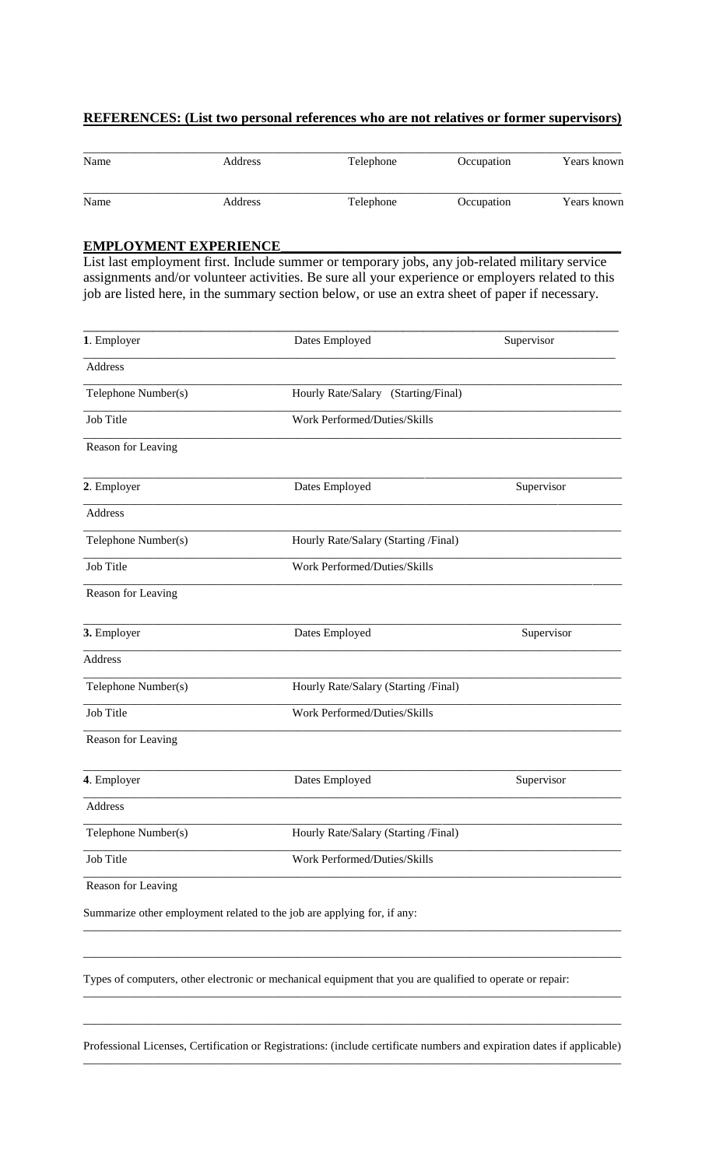#### **REFERENCES: (List two personal references who are not relatives or former supervisors)**

| Name | Address | <b>Telephone</b> | Occupation | Years known |
|------|---------|------------------|------------|-------------|
| Name | Address | Telephone        | Occupation | Years known |

### **EMPLOYMENT EXPERIENCE\_\_\_\_\_\_\_\_\_\_\_\_\_\_\_\_\_\_\_\_\_\_\_\_\_\_\_\_\_\_\_\_\_\_\_\_\_\_\_\_\_\_\_\_\_\_\_\_\_**

List last employment first. Include summer or temporary jobs, any job-related military service assignments and/or volunteer activities. Be sure all your experience or employers related to this job are listed here, in the summary section below, or use an extra sheet of paper if necessary.

| 1. Employer         | Dates Employed                                                          | Supervisor |
|---------------------|-------------------------------------------------------------------------|------------|
| Address             |                                                                         |            |
| Telephone Number(s) | Hourly Rate/Salary (Starting/Final)                                     |            |
| Job Title           | Work Performed/Duties/Skills                                            |            |
| Reason for Leaving  |                                                                         |            |
| 2. Employer         | Dates Employed                                                          | Supervisor |
| Address             |                                                                         |            |
| Telephone Number(s) | Hourly Rate/Salary (Starting /Final)                                    |            |
| Job Title           | Work Performed/Duties/Skills                                            |            |
| Reason for Leaving  |                                                                         |            |
| 3. Employer         | Dates Employed                                                          | Supervisor |
| Address             |                                                                         |            |
| Telephone Number(s) | Hourly Rate/Salary (Starting /Final)                                    |            |
| Job Title           | Work Performed/Duties/Skills                                            |            |
| Reason for Leaving  |                                                                         |            |
| 4. Employer         | Dates Employed                                                          | Supervisor |
| Address             |                                                                         |            |
| Telephone Number(s) | Hourly Rate/Salary (Starting /Final)                                    |            |
| Job Title           | Work Performed/Duties/Skills                                            |            |
| Reason for Leaving  |                                                                         |            |
|                     | Summarize other employment related to the job are applying for, if any: |            |

Types of computers, other electronic or mechanical equipment that you are qualified to operate or repair:

Professional Licenses, Certification or Registrations: (include certificate numbers and expiration dates if applicable) \_\_\_\_\_\_\_\_\_\_\_\_\_\_\_\_\_\_\_\_\_\_\_\_\_\_\_\_\_\_\_\_\_\_\_\_\_\_\_\_\_\_\_\_\_\_\_\_\_\_\_\_\_\_\_\_\_\_\_\_\_\_\_\_\_\_\_\_\_\_\_\_\_\_\_\_\_\_\_\_\_\_\_\_\_\_\_\_\_\_\_\_\_

 $\_$  ,  $\_$  ,  $\_$  ,  $\_$  ,  $\_$  ,  $\_$  ,  $\_$  ,  $\_$  ,  $\_$  ,  $\_$  ,  $\_$  ,  $\_$  ,  $\_$  ,  $\_$  ,  $\_$  ,  $\_$  ,  $\_$  ,  $\_$  ,  $\_$  ,  $\_$  ,  $\_$  ,  $\_$  ,  $\_$  ,  $\_$  ,  $\_$  ,  $\_$  ,  $\_$  ,  $\_$  ,  $\_$  ,  $\_$  ,  $\_$  ,  $\_$  ,  $\_$  ,  $\_$  ,  $\_$  ,  $\_$  ,  $\_$  ,

 $\_$  ,  $\_$  ,  $\_$  ,  $\_$  ,  $\_$  ,  $\_$  ,  $\_$  ,  $\_$  ,  $\_$  ,  $\_$  ,  $\_$  ,  $\_$  ,  $\_$  ,  $\_$  ,  $\_$  ,  $\_$  ,  $\_$  ,  $\_$  ,  $\_$  ,  $\_$  ,  $\_$  ,  $\_$  ,  $\_$  ,  $\_$  ,  $\_$  ,  $\_$  ,  $\_$  ,  $\_$  ,  $\_$  ,  $\_$  ,  $\_$  ,  $\_$  ,  $\_$  ,  $\_$  ,  $\_$  ,  $\_$  ,  $\_$  ,

\_\_\_\_\_\_\_\_\_\_\_\_\_\_\_\_\_\_\_\_\_\_\_\_\_\_\_\_\_\_\_\_\_\_\_\_\_\_\_\_\_\_\_\_\_\_\_\_\_\_\_\_\_\_\_\_\_\_\_\_\_\_\_\_\_\_\_\_\_\_\_\_\_\_\_\_\_\_\_\_\_\_\_\_\_\_\_\_\_\_\_\_\_